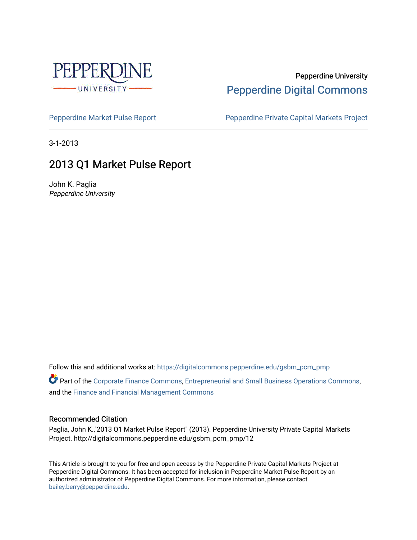

### Pepperdine University [Pepperdine Digital Commons](https://digitalcommons.pepperdine.edu/)

[Pepperdine Market Pulse Report](https://digitalcommons.pepperdine.edu/gsbm_pcm_pmp) Pepperdine Private Capital Markets Project

3-1-2013

## 2013 Q1 Market Pulse Report

John K. Paglia Pepperdine University

Follow this and additional works at: [https://digitalcommons.pepperdine.edu/gsbm\\_pcm\\_pmp](https://digitalcommons.pepperdine.edu/gsbm_pcm_pmp?utm_source=digitalcommons.pepperdine.edu%2Fgsbm_pcm_pmp%2F14&utm_medium=PDF&utm_campaign=PDFCoverPages) 

Part of the [Corporate Finance Commons](http://network.bepress.com/hgg/discipline/629?utm_source=digitalcommons.pepperdine.edu%2Fgsbm_pcm_pmp%2F14&utm_medium=PDF&utm_campaign=PDFCoverPages), [Entrepreneurial and Small Business Operations Commons](http://network.bepress.com/hgg/discipline/630?utm_source=digitalcommons.pepperdine.edu%2Fgsbm_pcm_pmp%2F14&utm_medium=PDF&utm_campaign=PDFCoverPages), and the [Finance and Financial Management Commons](http://network.bepress.com/hgg/discipline/631?utm_source=digitalcommons.pepperdine.edu%2Fgsbm_pcm_pmp%2F14&utm_medium=PDF&utm_campaign=PDFCoverPages) 

#### Recommended Citation

Paglia, John K.,"2013 Q1 Market Pulse Report" (2013). Pepperdine University Private Capital Markets Project. http://digitalcommons.pepperdine.edu/gsbm\_pcm\_pmp/12

This Article is brought to you for free and open access by the Pepperdine Private Capital Markets Project at Pepperdine Digital Commons. It has been accepted for inclusion in Pepperdine Market Pulse Report by an authorized administrator of Pepperdine Digital Commons. For more information, please contact [bailey.berry@pepperdine.edu](mailto:bailey.berry@pepperdine.edu).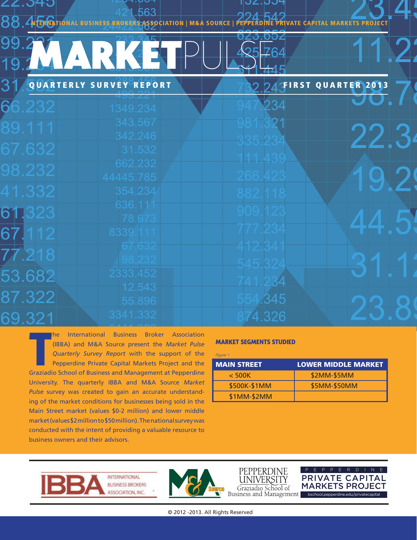|  |  | 8. 4 <b>B. AUTONAL BUSINESS BROKERS ASSOCIATION   M&amp;A SOURCE   PEPPERDINE PRIVATE CAPITAL MARKETS PROJECT</b> |  |  |  | $774$ $047$ |  |  |  |  |
|--|--|-------------------------------------------------------------------------------------------------------------------|--|--|--|-------------|--|--|--|--|
|  |  |                                                                                                                   |  |  |  |             |  |  |  |  |
|  |  |                                                                                                                   |  |  |  |             |  |  |  |  |
|  |  |                                                                                                                   |  |  |  |             |  |  |  |  |
|  |  |                                                                                                                   |  |  |  |             |  |  |  |  |

**IIUZ.DU** 

RK

| 31     | QUARTERLY SURVEY REPORT | 2 24 FIRST QUARTER 201 |  |
|--------|-------------------------|------------------------|--|
| 66.232 | 499.ZZ1<br>1349.234     | 947.234                |  |
| 89.111 | 343.567<br>342.246      |                        |  |
| 67.632 | 31.532                  | 335.23                 |  |
| 98.232 | 662.232<br>44445.785    | 266.423                |  |
| 41.332 | 354.234                 | 882.118                |  |
| 61.323 | 636.111<br>78.673       | 909.123                |  |
| 67.112 | 8339.111                | 777.234                |  |
| 77.218 | 67.632<br>98.232        | 412.34<br>545.324      |  |
| 53.682 | 2333.452                | 34                     |  |
| 87.322 | 12.543<br>55.896        | 554.345                |  |
| 69.321 | 3341.332                | 74.326                 |  |

**THE SERVIE INTERNATIONAL SERVIE CONCRETENT ASSOCIAtion**<br>
(IBBA) and M&A Source present the *Market Pulse*<br>
Quarterly Survey Report with the support of the<br>
Pepperdine Private Capital Markets Project and the<br>
Graziadio Sch he International Business Broker Association (IBBA) and M&A Source present the *Market Pulse Quarterly Survey Report* with the support of the Pepperdine Private Capital Markets Project and the University. The quarterly IBBA and M&A Source *Market Pulse* survey was created to gain an accurate understanding of the market conditions for businesses being sold in the Main Street market (values \$0-2 million) and lower middle market (values \$2 million to \$50 million). The national survey was conducted with the intent of providing a valuable resource to business owners and their advisors.

#### **MARKET SEGMENTS STUDIED**

| Figure 1           |                            |
|--------------------|----------------------------|
| <b>MAIN STREET</b> | <b>LOWER MIDDLE MARKET</b> |
| $<$ 500K           | \$2MM-\$5MM                |
| \$500K-\$1MM       | \$5MM-\$50MM               |
| \$1MM-\$2MM        |                            |









© 2012 -2013. All Rights Reserved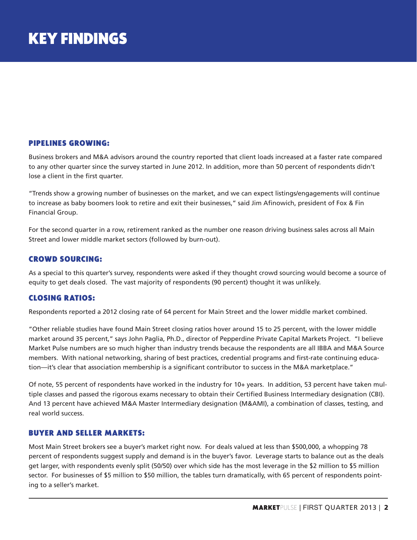#### PIPELINES GROWING:

Business brokers and M&A advisors around the country reported that client loads increased at a faster rate compared to any other quarter since the survey started in June 2012. In addition, more than 50 percent of respondents didn't lose a client in the first quarter.

"Trends show a growing number of businesses on the market, and we can expect listings/engagements will continue to increase as baby boomers look to retire and exit their businesses," said Jim Afinowich, president of Fox & Fin Financial Group.

For the second quarter in a row, retirement ranked as the number one reason driving business sales across all Main Street and lower middle market sectors (followed by burn-out).

#### CROWD SOURCING:

As a special to this quarter's survey, respondents were asked if they thought crowd sourcing would become a source of equity to get deals closed. The vast majority of respondents (90 percent) thought it was unlikely.

#### CLOSING RATIOS:

Respondents reported a 2012 closing rate of 64 percent for Main Street and the lower middle market combined.

"Other reliable studies have found Main Street closing ratios hover around 15 to 25 percent, with the lower middle market around 35 percent," says John Paglia, Ph.D., director of Pepperdine Private Capital Markets Project. "I believe Market Pulse numbers are so much higher than industry trends because the respondents are all IBBA and M&A Source members. With national networking, sharing of best practices, credential programs and first-rate continuing education—it's clear that association membership is a significant contributor to success in the M&A marketplace."

Of note, 55 percent of respondents have worked in the industry for 10+ years. In addition, 53 percent have taken multiple classes and passed the rigorous exams necessary to obtain their Certified Business Intermediary designation (CBI). And 13 percent have achieved M&A Master Intermediary designation (M&AMI), a combination of classes, testing, and real world success.

#### BUYER AND SELLER MARKETS:

Most Main Street brokers see a buyer's market right now. For deals valued at less than \$500,000, a whopping 78 percent of respondents suggest supply and demand is in the buyer's favor. Leverage starts to balance out as the deals get larger, with respondents evenly split (50/50) over which side has the most leverage in the \$2 million to \$5 million sector. For businesses of \$5 million to \$50 million, the tables turn dramatically, with 65 percent of respondents pointing to a seller's market.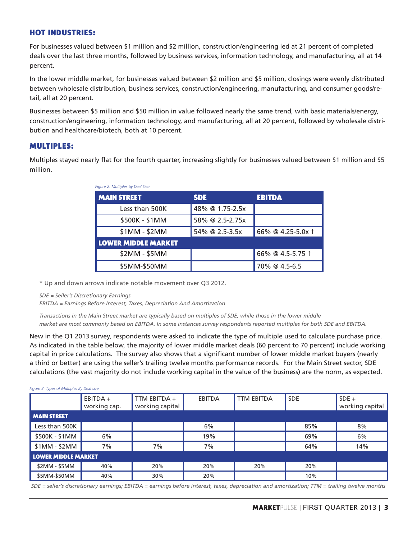#### HOT INDUSTRIES:

For businesses valued between \$1 million and \$2 million, construction/engineering led at 21 percent of completed deals over the last three months, followed by business services, information technology, and manufacturing, all at 14 percent.

In the lower middle market, for businesses valued between \$2 million and \$5 million, closings were evenly distributed between wholesale distribution, business services, construction/engineering, manufacturing, and consumer goods/retail, all at 20 percent.

Businesses between \$5 million and \$50 million in value followed nearly the same trend, with basic materials/energy, construction/engineering, information technology, and manufacturing, all at 20 percent, followed by wholesale distribution and healthcare/biotech, both at 10 percent.

#### MULTIPLES:

Multiples stayed nearly flat for the fourth quarter, increasing slightly for businesses valued between \$1 million and \$5 million.

| Figure 2: Multiples by Deal Size |                 |                   |  |  |  |  |  |  |
|----------------------------------|-----------------|-------------------|--|--|--|--|--|--|
| <b>MAIN STREET</b>               | <b>SDE</b>      | <b>EBITDA</b>     |  |  |  |  |  |  |
| Less than 500K                   | 48% @ 1.75-2.5x |                   |  |  |  |  |  |  |
| \$500K - \$1MM                   | 58% @ 2.5-2.75x |                   |  |  |  |  |  |  |
| \$1MM - \$2MM                    | 54% @ 2.5-3.5x  | 66% @ 4.25-5.0x 1 |  |  |  |  |  |  |
| <b>LOWER MIDDLE MARKET</b>       |                 |                   |  |  |  |  |  |  |
| \$2MM - \$5MM                    |                 | 66% @ 4.5-5.75 1  |  |  |  |  |  |  |
| \$5MM-\$50MM                     |                 | 70% @ 4.5-6.5     |  |  |  |  |  |  |

\* Up and down arrows indicate notable movement over Q3 2012.

*SDE = Seller's Discretionary Earnings* 

*EBITDA = Earnings Before Interest, Taxes, Depreciation And Amortization* 

*Transactions in the Main Street market are typically based on multiples of SDE, while those in the lower middle market are most commonly based on EBITDA. In some instances survey respondents reported multiples for both SDE and EBITDA.*

New in the Q1 2013 survey, respondents were asked to indicate the type of multiple used to calculate purchase price. As indicated in the table below, the majority of lower middle market deals (60 percent to 70 percent) include working capital in price calculations. The survey also shows that a significant number of lower middle market buyers (nearly a third or better) are using the seller's trailing twelve months performance records. For the Main Street sector, SDE calculations (the vast majority do not include working capital in the value of the business) are the norm, as expected.

#### *Figure 3: Types of Multiples By Deal size*

|                     | EBITDA +<br>working cap. | TTM EBITDA +<br>working capital | <b>EBITDA</b> | <b>TTM EBITDA</b> | <b>SDE</b> | $SDE +$<br>working capital |
|---------------------|--------------------------|---------------------------------|---------------|-------------------|------------|----------------------------|
| <b>MAIN STREET</b>  |                          |                                 |               |                   |            |                            |
| Less than 500K      |                          |                                 | 6%            |                   | 85%        | 8%                         |
| \$500K - \$1MM      | 6%                       |                                 | 19%           |                   | 69%        | 6%                         |
| $$1MM - $2MM$       | 7%                       | 7%                              | 7%            |                   | 64%        | 14%                        |
| LOWER MIDDLE MARKET |                          |                                 |               |                   |            |                            |
| \$2MM - \$5MM       | 40%                      | 20%                             | 20%           | 20%               | 20%        |                            |
| \$5MM-\$50MM        | 40%                      | 30%                             | 20%           |                   | 10%        |                            |

 *SDE = seller's discretionary earnings; EBITDA = earnings before interest, taxes, depreciation and amortization; TTM = trailing twelve months*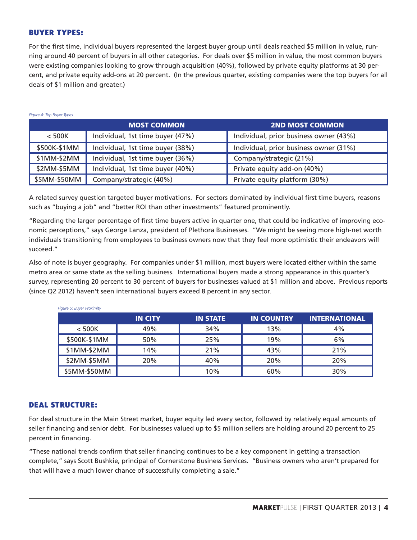#### BUYER TYPES:

*Figure 4: Top Buyer Types*

For the first time, individual buyers represented the largest buyer group until deals reached \$5 million in value, running around 40 percent of buyers in all other categories. For deals over \$5 million in value, the most common buyers were existing companies looking to grow through acquisition (40%), followed by private equity platforms at 30 percent, and private equity add-ons at 20 percent. (In the previous quarter, existing companies were the top buyers for all deals of \$1 million and greater.)

|              | <b>MOST COMMON</b>               | <b>2ND MOST COMMON</b>                 |
|--------------|----------------------------------|----------------------------------------|
| $<$ 500K     | Individual, 1st time buyer (47%) | Individual, prior business owner (43%) |
| \$500K-\$1MM | Individual, 1st time buyer (38%) | Individual, prior business owner (31%) |
| \$1MM-\$2MM  | Individual, 1st time buyer (36%) | Company/strategic (21%)                |
| \$2MM-\$5MM  | Individual, 1st time buyer (40%) | Private equity add-on (40%)            |
| \$5MM-\$50MM | Company/strategic (40%)          | Private equity platform (30%)          |

A related survey question targeted buyer motivations. For sectors dominated by individual first time buyers, reasons such as "buying a job" and "better ROI than other investments" featured prominently.

"Regarding the larger percentage of first time buyers active in quarter one, that could be indicative of improving economic perceptions," says George Lanza, president of Plethora Businesses. "We might be seeing more high-net worth individuals transitioning from employees to business owners now that they feel more optimistic their endeavors will succeed."

Also of note is buyer geography. For companies under \$1 million, most buyers were located either within the same metro area or same state as the selling business. International buyers made a strong appearance in this quarter's survey, representing 20 percent to 30 percent of buyers for businesses valued at \$1 million and above. Previous reports (since Q2 2012) haven't seen international buyers exceed 8 percent in any sector.

| <b>Figure 5: Buyer Proximity</b> |                |                 |                   |                      |  |  |  |  |
|----------------------------------|----------------|-----------------|-------------------|----------------------|--|--|--|--|
|                                  | <b>IN CITY</b> | <b>IN STATE</b> | <b>IN COUNTRY</b> | <b>INTERNATIONAL</b> |  |  |  |  |
| $<$ 500K                         | 49%            | 34%             | 13%               | 4%                   |  |  |  |  |
| \$500K-\$1MM                     | 50%            | 25%             | 19%               | 6%                   |  |  |  |  |
| \$1MM-\$2MM                      | 14%            | 21%             | 43%               | 21%                  |  |  |  |  |
| \$2MM-\$5MM                      | 20%            | 40%             | 20%               | 20%                  |  |  |  |  |
| \$5MM-\$50MM                     |                | 10%             | 60%               | 30%                  |  |  |  |  |

#### DEAL STRUCTURE:

For deal structure in the Main Street market, buyer equity led every sector, followed by relatively equal amounts of seller financing and senior debt. For businesses valued up to \$5 million sellers are holding around 20 percent to 25 percent in financing.

"These national trends confirm that seller financing continues to be a key component in getting a transaction complete," says Scott Bushkie, principal of Cornerstone Business Services. "Business owners who aren't prepared for that will have a much lower chance of successfully completing a sale."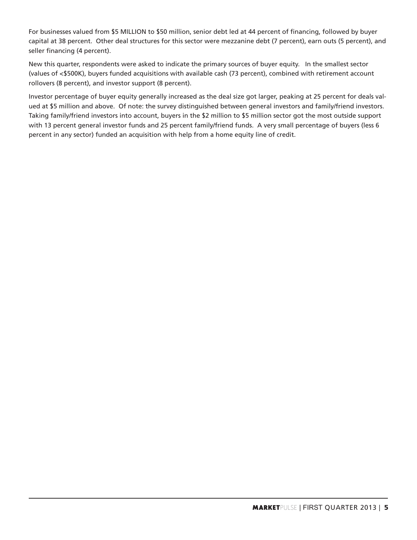For businesses valued from \$5 MILLION to \$50 million, senior debt led at 44 percent of financing, followed by buyer capital at 38 percent. Other deal structures for this sector were mezzanine debt (7 percent), earn outs (5 percent), and seller financing (4 percent).

New this quarter, respondents were asked to indicate the primary sources of buyer equity. In the smallest sector (values of <\$500K), buyers funded acquisitions with available cash (73 percent), combined with retirement account rollovers (8 percent), and investor support (8 percent).

Investor percentage of buyer equity generally increased as the deal size got larger, peaking at 25 percent for deals valued at \$5 million and above. Of note: the survey distinguished between general investors and family/friend investors. Taking family/friend investors into account, buyers in the \$2 million to \$5 million sector got the most outside support with 13 percent general investor funds and 25 percent family/friend funds. A very small percentage of buyers (less 6 percent in any sector) funded an acquisition with help from a home equity line of credit.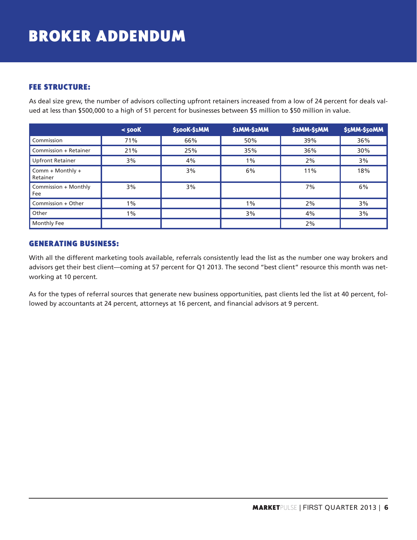# BROKER ADDENDUM

#### FEE STRUCTURE:

As deal size grew, the number of advisors collecting upfront retainers increased from a low of 24 percent for deals valued at less than \$500,000 to a high of 51 percent for businesses between \$5 million to \$50 million in value.

|                              | $<$ 500 $K$ | \$500K-\$1MM | <b>\$1MM-\$2MM</b> | \$2MM-\$5MM | \$5MM-\$50MM |
|------------------------------|-------------|--------------|--------------------|-------------|--------------|
| Commission                   | 71%         | 66%          | 50%                | 39%         | 36%          |
| Commission + Retainer        | 21%         | 25%          | 35%                | 36%         | 30%          |
| <b>Upfront Retainer</b>      | 3%          | 4%           | $1\%$              | 2%          | 3%           |
| Comm + Monthly +<br>Retainer |             | 3%           | 6%                 | 11%         | 18%          |
| Commission + Monthly<br>Fee  | 3%          | 3%           |                    | 7%          | 6%           |
| Commission + Other           | $1\%$       |              | 1%                 | 2%          | 3%           |
| Other                        | $1\%$       |              | 3%                 | 4%          | 3%           |
| Monthly Fee                  |             |              |                    | 2%          |              |

#### GENERATING BUSINESS:

With all the different marketing tools available, referrals consistently lead the list as the number one way brokers and advisors get their best client—coming at 57 percent for Q1 2013. The second "best client" resource this month was networking at 10 percent.

As for the types of referral sources that generate new business opportunities, past clients led the list at 40 percent, followed by accountants at 24 percent, attorneys at 16 percent, and financial advisors at 9 percent.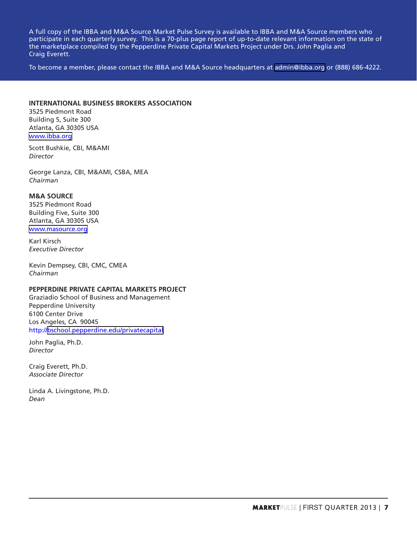A full copy of the IBBA and M&A Source Market Pulse Survey is available to IBBA and M&A Source members who participate in each quarterly survey. This is a 70-plus page report of up-to-date relevant information on the state of the marketplace compiled by the Pepperdine Private Capital Markets Project under Drs. John Paglia and Craig Everett.

To become a member, please contact the IBBA and M&A Source headquarters at [admin@ibba.org](mailto:admin@ibba.org) or (888) 686-4222.

#### **INTERNATIONAL BUSINESS BROKERS ASSOCIATION**

3525 Piedmont Road Building 5, Suite 300 Atlanta, GA 30305 USA [www.ibba.org](http://www.ibba.org)

Scott Bushkie, CBI, M&AMI *Director*

George Lanza, CBI, M&AMI, CSBA, MEA *Chairman*

#### **M&A SOURCE**

3525 Piedmont Road Building Five, Suite 300 Atlanta, GA 30305 USA [www.masource.org](http://www.masource.org)

Karl Kirsch *Executive Director*

Kevin Dempsey, CBI, CMC, CMEA *Chairman*

#### **PEPPERDINE PRIVATE CAPITAL MARKETS PROJECT**

Graziadio School of Business and Management Pepperdine University 6100 Center Drive Los Angeles, CA 90045 http:/[/bschool.pepperdine.edu/privatecapital](http://bschool.pepperdine.edu/privatecapital)

John Paglia, Ph.D. *Director*

Craig Everett, Ph.D. *Associate Director*

Linda A. Livingstone, Ph.D. *Dean*